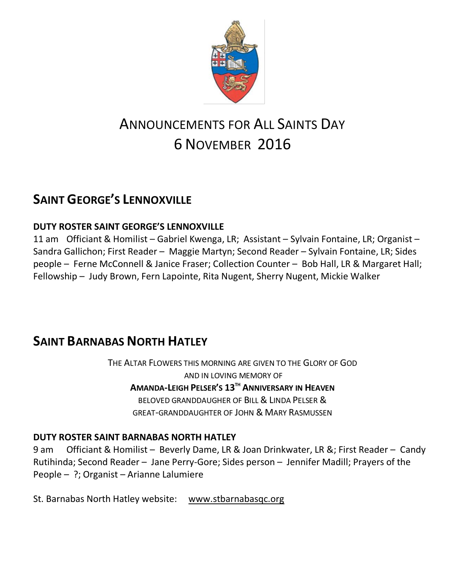

# ANNOUNCEMENTS FOR ALL SAINTS DAY 6 NOVEMBER 2016

# **SAINT GEORGE'S LENNOXVILLE**

#### **DUTY ROSTER SAINT GEORGE'S LENNOXVILLE**

11 am Officiant & Homilist – Gabriel Kwenga, LR; Assistant – Sylvain Fontaine, LR; Organist – Sandra Gallichon; First Reader – Maggie Martyn; Second Reader – Sylvain Fontaine, LR; Sides people – Ferne McConnell & Janice Fraser; Collection Counter – Bob Hall, LR & Margaret Hall; Fellowship – Judy Brown, Fern Lapointe, Rita Nugent, Sherry Nugent, Mickie Walker

### **SAINT BARNABAS NORTH HATLEY**

THE ALTAR FLOWERS THIS MORNING ARE GIVEN TO THE GLORY OF GOD AND IN LOVING MEMORY OF **AMANDA-LEIGH PELSER'S 13TH ANNIVERSARY IN HEAVEN** BELOVED GRANDDAUGHER OF BILL & LINDA PELSER & GREAT-GRANDDAUGHTER OF JOHN & MARY RASMUSSEN

#### **DUTY ROSTER SAINT BARNABAS NORTH HATLEY**

9 am Officiant & Homilist – Beverly Dame, LR & Joan Drinkwater, LR &; First Reader – Candy Rutihinda; Second Reader – Jane Perry-Gore; Sides person – Jennifer Madill; Prayers of the People – ?; Organist – Arianne Lalumiere

St. Barnabas North Hatley website: [www.stbarnabasqc.org](https://webmail.ubishops.ca/owa/redir.aspx?REF=0vV84iQWktbgou41-Q7x-hpuWc0un25Lg32_cT3pE_mXa77B8czTCAFodHRwOi8vd3d3LnN0YmFybmFiYXNxYy5vcmc.)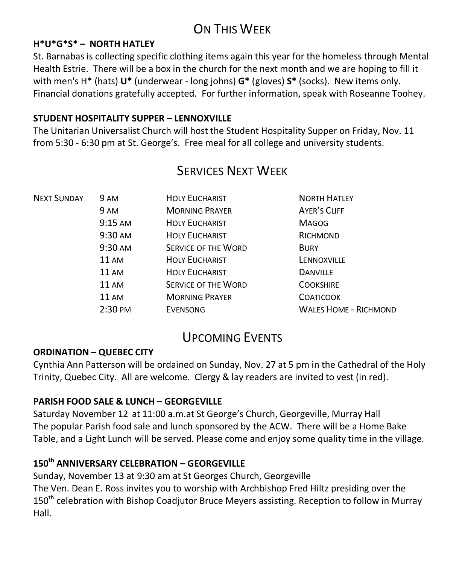# ON THIS WFFK

#### **H\*U\*G\*S\* – NORTH HATLEY**

St. Barnabas is collecting specific clothing items again this year for the homeless through Mental Health Estrie. There will be a box in the church for the next month and we are hoping to fill it with men's H\* (hats) **U\*** (underwear - long johns) **G\*** (gloves) **S\*** (socks). New items only. Financial donations gratefully accepted. For further information, speak with Roseanne Toohey.

#### **STUDENT HOSPITALITY SUPPER – LENNOXVILLE**

The Unitarian Universalist Church will host the Student Hospitality Supper on Friday, Nov. 11 from 5:30 - 6:30 pm at St. George's. Free meal for all college and university students.

| <b>NEXT SUNDAY</b> | <b>9 AM</b>  | <b>HOLY EUCHARIST</b>      | <b>NORTH HATLEY</b>          |
|--------------------|--------------|----------------------------|------------------------------|
|                    | 9 AM         | <b>MORNING PRAYER</b>      | <b>AYER'S CLIFF</b>          |
|                    | $9:15$ AM    | <b>HOLY EUCHARIST</b>      | <b>MAGOG</b>                 |
|                    | 9:30 AM      | <b>HOLY EUCHARIST</b>      | RICHMOND                     |
|                    | 9:30 AM      | <b>SERVICE OF THE WORD</b> | <b>BURY</b>                  |
|                    | <b>11 AM</b> | <b>HOLY EUCHARIST</b>      | LENNOXVILLE                  |
|                    | <b>11 AM</b> | <b>HOLY EUCHARIST</b>      | <b>DANVILLE</b>              |
|                    | 11AM         | <b>SERVICE OF THE WORD</b> | <b>COOKSHIRE</b>             |
|                    | <b>11 AM</b> | <b>MORNING PRAYER</b>      | <b>COATICOOK</b>             |
|                    | $2:30$ PM    | <b>EVENSONG</b>            | <b>WALES HOME - RICHMOND</b> |
|                    |              |                            |                              |

### SERVICES NEXT WEEK

### UPCOMING EVENTS

#### **ORDINATION – QUEBEC CITY**

Cynthia Ann Patterson will be ordained on Sunday, Nov. 27 at 5 pm in the Cathedral of the Holy Trinity, Quebec City. All are welcome. Clergy & lay readers are invited to vest (in red).

#### **PARISH FOOD SALE & LUNCH – GEORGEVILLE**

Saturday November 12 at 11:00 a.m.at St George's Church, Georgeville, Murray Hall The popular Parish food sale and lunch sponsored by the ACW. There will be a Home Bake Table, and a Light Lunch will be served. Please come and enjoy some quality time in the village.

#### **150th ANNIVERSARY CELEBRATION – GEORGEVILLE**

Sunday, November 13 at 9:30 am at St Georges Church, Georgeville The Ven. Dean E. Ross invites you to worship with Archbishop Fred Hiltz presiding over the 150<sup>th</sup> celebration with Bishop Coadjutor Bruce Meyers assisting. Reception to follow in Murray Hall.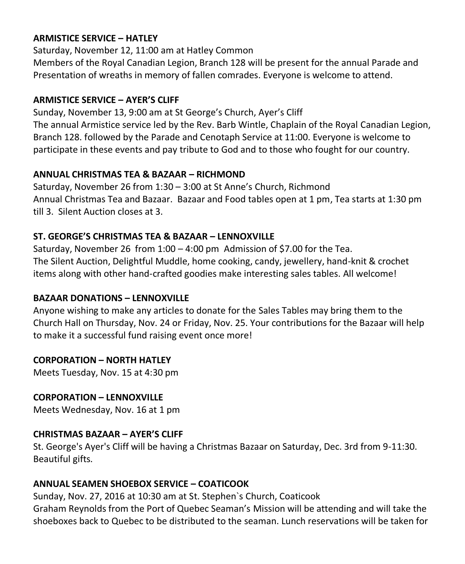#### **ARMISTICE SERVICE – HATLEY**

Saturday, November 12, 11:00 am at Hatley Common Members of the Royal Canadian Legion, Branch 128 will be present for the annual Parade and Presentation of wreaths in memory of fallen comrades. Everyone is welcome to attend.

#### **ARMISTICE SERVICE – AYER'S CLIFF**

Sunday, November 13, 9:00 am at St George's Church, Ayer's Cliff The annual Armistice service led by the Rev. Barb Wintle, Chaplain of the Royal Canadian Legion, Branch 128. followed by the Parade and Cenotaph Service at 11:00. Everyone is welcome to participate in these events and pay tribute to God and to those who fought for our country.

#### **ANNUAL CHRISTMAS TEA & BAZAAR – RICHMOND**

Saturday, November 26 from 1:30 – 3:00 at St Anne's Church, Richmond Annual Christmas Tea and Bazaar. Bazaar and Food tables open at 1 pm, Tea starts at 1:30 pm till 3. Silent Auction closes at 3.

#### **ST. GEORGE'S CHRISTMAS TEA & BAZAAR – LENNOXVILLE**

Saturday, November 26 from 1:00 – 4:00 pm Admission of \$7.00 for the Tea. The Silent Auction, Delightful Muddle, home cooking, candy, jewellery, hand-knit & crochet items along with other hand-crafted goodies make interesting sales tables. All welcome!

#### **BAZAAR DONATIONS – LENNOXVILLE**

Anyone wishing to make any articles to donate for the Sales Tables may bring them to the Church Hall on Thursday, Nov. 24 or Friday, Nov. 25. Your contributions for the Bazaar will help to make it a successful fund raising event once more!

#### **CORPORATION – NORTH HATLEY**

Meets Tuesday, Nov. 15 at 4:30 pm

#### **CORPORATION – LENNOXVILLE**

Meets Wednesday, Nov. 16 at 1 pm

#### **CHRISTMAS BAZAAR – AYER'S CLIFF**

St. George's Ayer's Cliff will be having a Christmas Bazaar on Saturday, Dec. 3rd from 9-11:30. Beautiful gifts.

#### **ANNUAL SEAMEN SHOEBOX SERVICE – COATICOOK**

Sunday, Nov. 27, 2016 at 10:30 am at St. Stephen`s Church, Coaticook Graham Reynolds from the Port of Quebec Seaman's Mission will be attending and will take the shoeboxes back to Quebec to be distributed to the seaman. Lunch reservations will be taken for